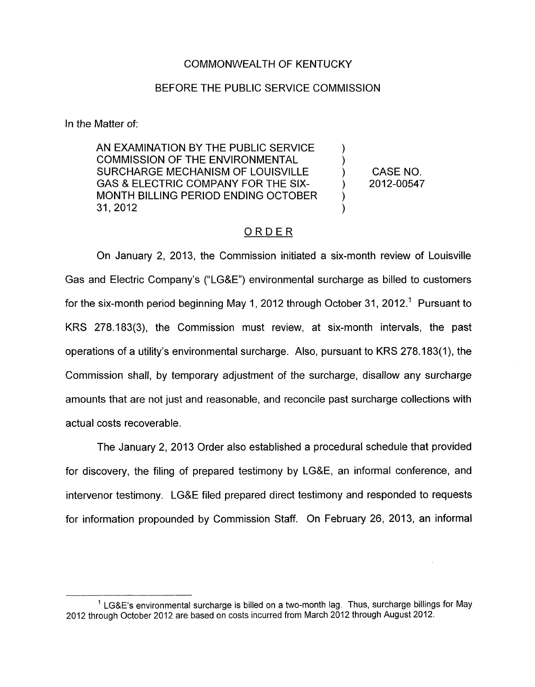## COMMONWEALTH OF KENTUCKY

### BEFORE THE PUBLIC SERVICE COMMISSION

In the Matter of:

AN EXAMINATION BY THE PUBLIC SERVICE  $\qquad \qquad$  )<br>COMMISSION OF THE ENVIRONMENTAL SURCHARGE MECHANISM OF LOUISVILLE ) CASE NO. MONTH BILLING PERIOD ENDING OCTOBER GAS & ELECTRIC COMPANY FOR THE SIX- (2012-00547) 31,2012 )

 $\sum_{i=1}^{n}$ 

## ORDER

On January 2, 2013, the Commission initiated a six-month review of Louisville Gas and Electric Company's ("LG&E") environmental surcharge as billed to customers for the six-month period beginning May 1, 2012 through October 31, 2012.<sup>1</sup> Pursuant to KRS 278.183(3), the Commission must review, at six-month intervals, the past operations of a utility's environmental surcharge. Also, pursuant to KRS 278.1 83(1), the Commission shall, by temporary adjustment of the surcharge, disallow any surcharge amounts that are not just and reasonable, and reconcile past surcharge collections with actual costs recoverable.

The January 2, 2013 Order also established a procedural schedule that provided for discovery, the filing of prepared testimony by LG&E, an informal conference, and intervenor testimony. LG&E filed prepared direct testimony and responded to requests for information propounded by Commission Staff. On February 26, 2013, an informal

<sup>&#</sup>x27; LG&E's environmental surcharge is billed on a two-month lag. Thus, surcharge billings for May 2012 through October 2012 are based on costs incurred from March 2012 through August 2012.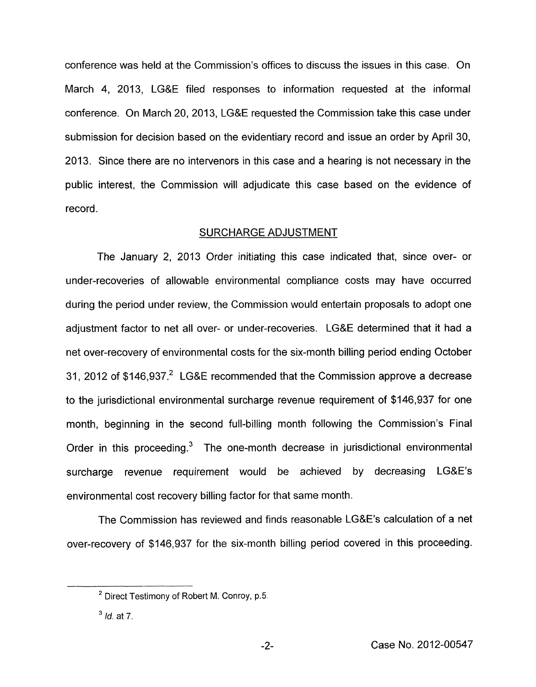conference was held at the Commission's offices to discuss the issues in this case. On March 4, 2013, LG&E filed responses to information requested at the informal conference. On March 20, 2013, LG&E requested the Commission take this case under submission for decision based on the evidentiary record and issue an order by April 30, 2013. Since there are no intervenors in this case and a hearing is not necessary in the public interest, the Commission will adjudicate this case based on the evidence of record.

#### SURCHARGE ADJUSTMENT

The January 2, 2013 Order initiating this case indicated that, since over- or under-recoveries of allowable environmental compliance costs may have occurred during the period under review, the Commission would entertain proposals to adopt one adjustment factor to net all over- or under-recoveries. LG&E determined that it had a net over-recovery of environmental costs for the six-month billing period ending October 31, 2012 of \$146,937.<sup>2</sup> LG&E recommended that the Commission approve a decrease to the jurisdictional environmental surcharge revenue requirement of \$146,937 for one month, beginning in the second full-billing month following the Commission's Final Order in this proceeding. $3$  The one-month decrease in jurisdictional environmental surcharge revenue requirement would be achieved by decreasing LG&E's environmental cost recovery billing factor for that same month.

The Commission has reviewed and finds reasonable LG&E's calculation of a net over-recovery of \$1 46,937 for the six-month billing period covered in this proceeding.

<sup>&</sup>lt;sup>2</sup> Direct Testimony of Robert M. Conroy, p.5.

*Id.* at **7. 3**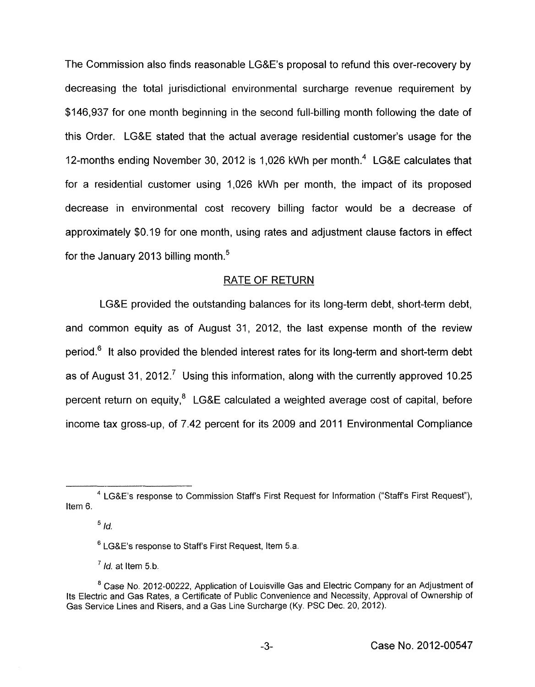The Commission also finds reasonable LG&E's proposal to refund this over-recovery by decreasing the total jurisdictional environmental surcharge revenue requirement by \$146,937 for one month beginning in the second full-billing month following the date of this Order. LG&E stated that the actual average residential customer's usage for the 12-months ending November 30, 2012 is 1,026 kWh per month.<sup>4</sup> LG&E calculates that for a residential customer using 1,026 kWh per month, the impact of its proposed decrease in environmental cost recovery billing factor would be a decrease of approximately \$0.19 for one month, using rates and adjustment clause factors in effect for the January 2013 billing month. $5$ 

# RATE OF RETURN

LG&E provided the outstanding balances for its long-term debt, short-term debt, and common equity as of August 31, 2012, the last expense month of the review period.<sup>6</sup> It also provided the blended interest rates for its long-term and short-term debt as of August 31, 2012.<sup>7</sup> Using this information, along with the currently approved 10.25 percent return on equity, $<sup>8</sup>$  LG&E calculated a weighted average cost of capital, before</sup> income tax gross-up, of 7.42 percent for its 2009 and 2011 Environmental Compliance

 $\frac{5}{d}$ 

<sup>&</sup>lt;sup>4</sup> LG&E's response to Commission Staff's First Request for Information ("Staff's First Request"), Item 6.

LGBE's response to Staff's First Request, Item 5.a.

 $<sup>7</sup>$  *Id.* at Item 5.b.</sup>

<sup>&</sup>lt;sup>8</sup> Case No. 2012-00222, Application of Louisville Gas and Electric Company for an Adjustment of Its Electric and Gas Rates, a Certificate of Public Convenience and Necessity, Approval of Ownership of Gas Service Lines and Risers, and a Gas Line Surcharge (Ky. PSC Dec. 20,2012).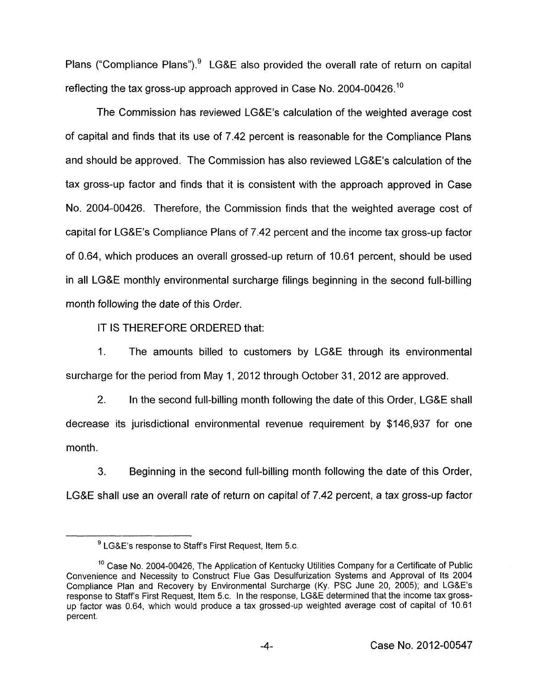Plans ("Compliance Plans"). $9$  LG&E also provided the overall rate of return on capital reflecting the tax gross-up approach approved in Case No. 2004-00426.<sup>10</sup>

The Commission has reviewed LG&E's calculation of the weighted average cost of capital and finds that its use of 7.42 percent is reasonable for the Compliance Plans and should be approved. The Commission has also reviewed LG&E's calculation of the tax gross-up factor and finds that it is consistent with the approach approved in Case No. 2004-00426. Therefore, the Commission finds that the weighted average cost of capital for LG&E's Compliance Plans of 7.42 percent and the income tax gross-up factor of 0.64, which produces an overall grossed-up return of 10.61 percent, should be used in all LG&E monthly environmental surcharge filings beginning in the second full-billing month following the date of this Order.

IT IS THEREFORE ORDERED that:

1. The amounts billed to customers by LG&E through its environmental surcharge for the period from May 1, 2012 through October 31, 2012 are approved.

2. In the second full-billing month following the date of this Order, LG&E shall decrease its jurisdictional environmental revenue requirement by \$146,937 for one month.

3. Beginning in the second full-billing month following the date of this Order, LG&E shall use an overall rate of return on capital of 7.42 percent, a tax gross-up factor

<sup>&</sup>lt;sup>9</sup> LG&E's response to Staff's First Request, Item 5.c.

Case **No.** 2004-00426, The Application of Kentucky Utilities Company for a Certificate of Public **10**  Convenience and Necessity to Construct Flue Gas Desulfurization Systems and Approval of Its 2004 Compliance Plan and Recovery by Environmental Surcharge (Ky. PSC June 20, 2005); and LG&E's response to Staffs First Request, Item 5.c. In the response, LG&E determined that the income tax grossup factor was 0.64, which would produce a tax grossed-up weighted average cost of capital of 10.61 percent.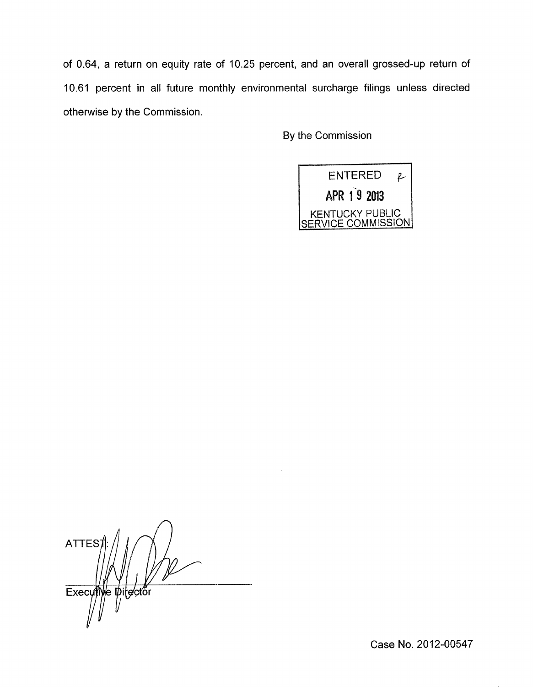of 0.64, a return on equity rate of 10.25 percent, and an overall grossed-up return of 10.61 percent in all future monthly environmental surcharge filings unless directed otherwise by the Commission.

By the Commission



*n*  **ATTES** Executive pitector

Case No. 2012-00547